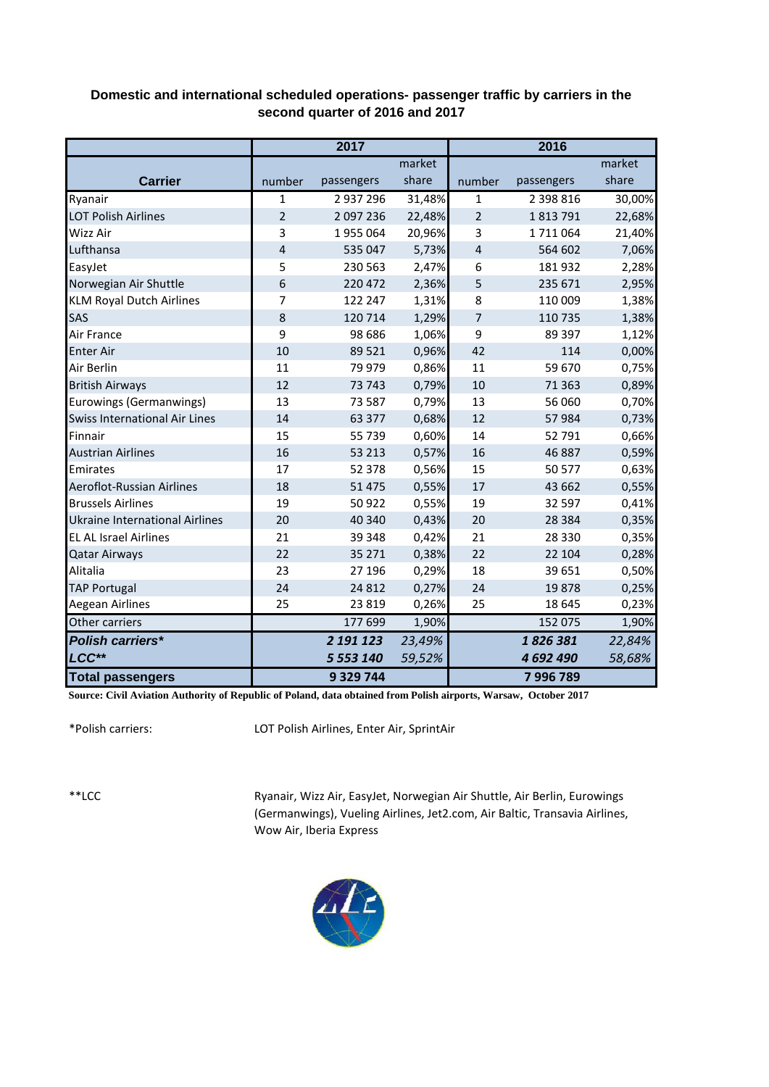## **Domestic and international scheduled operations- passenger traffic by carriers in the second quarter of 2016 and 2017**

|                                       | 2017           |             |        | 2016           |            |        |  |
|---------------------------------------|----------------|-------------|--------|----------------|------------|--------|--|
|                                       |                |             | market |                |            | market |  |
| <b>Carrier</b>                        | number         | passengers  | share  | number         | passengers | share  |  |
| Ryanair                               | $\mathbf{1}$   | 2 937 296   | 31,48% | 1              | 2 398 816  | 30,00% |  |
| <b>LOT Polish Airlines</b>            | $\overline{2}$ | 2 097 236   | 22,48% | $\overline{2}$ | 1813791    | 22,68% |  |
| Wizz Air                              | 3              | 1955064     | 20,96% | 3              | 1711064    | 21,40% |  |
| Lufthansa                             | 4              | 535 047     | 5,73%  | 4              | 564 602    | 7,06%  |  |
| EasyJet                               | 5              | 230 563     | 2,47%  | 6              | 181932     | 2,28%  |  |
| Norwegian Air Shuttle                 | 6              | 220 472     | 2,36%  | 5              | 235 671    | 2,95%  |  |
| <b>KLM Royal Dutch Airlines</b>       | 7              | 122 247     | 1,31%  | 8              | 110 009    | 1,38%  |  |
| SAS                                   | 8              | 120 714     | 1,29%  | 7              | 110 735    | 1,38%  |  |
| Air France                            | 9              | 98 6 8 6    | 1,06%  | 9              | 89 397     | 1,12%  |  |
| <b>Enter Air</b>                      | 10             | 89 5 21     | 0,96%  | 42             | 114        | 0,00%  |  |
| Air Berlin                            | 11             | 79 979      | 0,86%  | 11             | 59 670     | 0,75%  |  |
| <b>British Airways</b>                | 12             | 73 743      | 0,79%  | 10             | 71 3 63    | 0,89%  |  |
| Eurowings (Germanwings)               | 13             | 73 587      | 0,79%  | 13             | 56 060     | 0,70%  |  |
| <b>Swiss International Air Lines</b>  | 14             | 63 377      | 0,68%  | 12             | 57984      | 0,73%  |  |
| Finnair                               | 15             | 55 739      | 0,60%  | 14             | 52 791     | 0,66%  |  |
| <b>Austrian Airlines</b>              | 16             | 53 213      | 0,57%  | 16             | 46887      | 0,59%  |  |
| Emirates                              | 17             | 52 378      | 0,56%  | 15             | 50 577     | 0,63%  |  |
| Aeroflot-Russian Airlines             | 18             | 51 4 7 5    | 0,55%  | 17             | 43 662     | 0,55%  |  |
| <b>Brussels Airlines</b>              | 19             | 50 922      | 0,55%  | 19             | 32 597     | 0,41%  |  |
| <b>Ukraine International Airlines</b> | 20             | 40 340      | 0,43%  | 20             | 28 3 8 4   | 0,35%  |  |
| <b>EL AL Israel Airlines</b>          | 21             | 39 348      | 0,42%  | 21             | 28 3 30    | 0,35%  |  |
| <b>Qatar Airways</b>                  | 22             | 35 271      | 0,38%  | 22             | 22 104     | 0,28%  |  |
| Alitalia                              | 23             | 27 196      | 0,29%  | 18             | 39 651     | 0,50%  |  |
| <b>TAP Portugal</b>                   | 24             | 24 8 12     | 0,27%  | 24             | 19878      | 0,25%  |  |
| Aegean Airlines                       | 25             | 23 8 19     | 0,26%  | 25             | 18 645     | 0,23%  |  |
| Other carriers                        |                | 177 699     | 1,90%  |                | 152 075    | 1,90%  |  |
| <b>Polish carriers*</b>               |                | 2 191 123   | 23,49% |                | 1826381    | 22,84% |  |
| LCC**                                 |                | 5 553 140   | 59,52% |                | 4 692 490  | 58,68% |  |
| <b>Total passengers</b>               |                | 9 3 29 7 44 |        |                | 7 996 789  |        |  |

**Source: Civil Aviation Authority of Republic of Poland, data obtained from Polish airports, Warsaw, October 2017**

\*Polish carriers:

LOT Polish Airlines, Enter Air, SprintAir

\*\*LCC

Ryanair, Wizz Air, EasyJet, Norwegian Air Shuttle, Air Berlin, Eurowings (Germanwings), Vueling Airlines, Jet2.com, Air Baltic, Transavia Airlines, Wow Air, Iberia Express